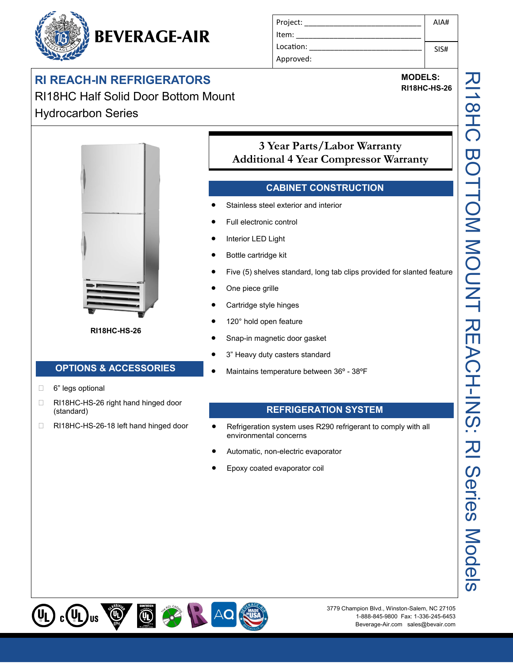# **BEVERAGE-AIR**

## **RI REACH-IN REFRIGERATORS**

RI18HC Half Solid Door Bottom Mount Hydrocarbon Series



**RI18HC-HS-26**

### **OPTIONS & ACCESSORIES**

- □ 6" legs optional
- □ RI18HC-HS-26 right hand hinged door (standard)
- □ RI18HC-HS-26-18 left hand hinged door

| Project:  | AIA# |
|-----------|------|
| Item:     |      |
| Location: | SIS# |
| Approved: |      |

**MODELS:**

**RI18HC-HS-26**

### **3 Year Parts/Labor Warranty Additional 4 Year Compressor Warranty**

#### **CABINET CONSTRUCTION**

- Stainless steel exterior and interior
- Full electronic control
- Interior LED Light
- Bottle cartridge kit
- Five (5) shelves standard, long tab clips provided for slanted feature
- One piece grille
- Cartridge style hinges
- 120° hold open feature
- Snap-in magnetic door gasket
- 3" Heavy duty casters standard
- Maintains temperature between 36º 38ºF

#### **REFRIGERATION SYSTEM**

- Refrigeration system uses R290 refrigerant to comply with all environmental concerns
- Automatic, non-electric evaporator
- Epoxy coated evaporator coil